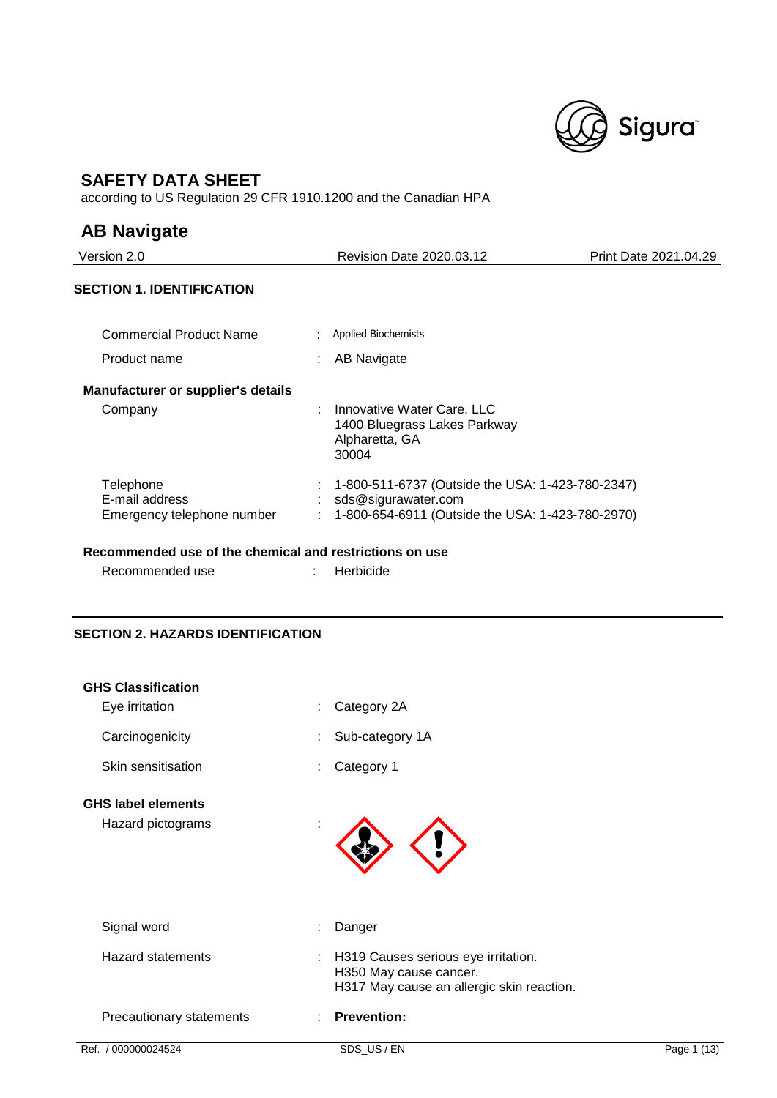

## **SAFETY DATA SHEET**

according to US Regulation 29 CFR 1910.1200 and the Canadian HPA

## **AB Navigate**

| Version 2.0                                               | <b>Revision Date 2020.03.12</b>                                                                                             | Print Date 2021.04.29 |
|-----------------------------------------------------------|-----------------------------------------------------------------------------------------------------------------------------|-----------------------|
| <b>SECTION 1. IDENTIFICATION</b>                          |                                                                                                                             |                       |
| <b>Commercial Product Name</b>                            | <b>Applied Biochemists</b>                                                                                                  |                       |
| Product name                                              | AB Navigate                                                                                                                 |                       |
| <b>Manufacturer or supplier's details</b>                 |                                                                                                                             |                       |
| Company                                                   | : Innovative Water Care, LLC<br>1400 Bluegrass Lakes Parkway<br>Alpharetta, GA<br>30004                                     |                       |
| Telephone<br>E-mail address<br>Emergency telephone number | 1-800-511-6737 (Outside the USA: 1-423-780-2347)<br>sds@sigurawater.com<br>1-800-654-6911 (Outside the USA: 1-423-780-2970) |                       |
|                                                           |                                                                                                                             |                       |

## **Recommended use of the chemical and restrictions on use**

Recommended use : Herbicide

## **SECTION 2. HAZARDS IDENTIFICATION**

| Ref. / 000000024524                            | SDS_US / EN                                                                                                | Page $1(13)$ |
|------------------------------------------------|------------------------------------------------------------------------------------------------------------|--------------|
| Precautionary statements                       | <b>Prevention:</b>                                                                                         |              |
| <b>Hazard statements</b>                       | H319 Causes serious eye irritation.<br>H350 May cause cancer.<br>H317 May cause an allergic skin reaction. |              |
| Signal word                                    | Danger                                                                                                     |              |
| <b>GHS label elements</b><br>Hazard pictograms |                                                                                                            |              |
| Skin sensitisation                             | Category 1                                                                                                 |              |
| Carcinogenicity                                | Sub-category 1A                                                                                            |              |
| <b>GHS Classification</b><br>Eye irritation    | Category 2A                                                                                                |              |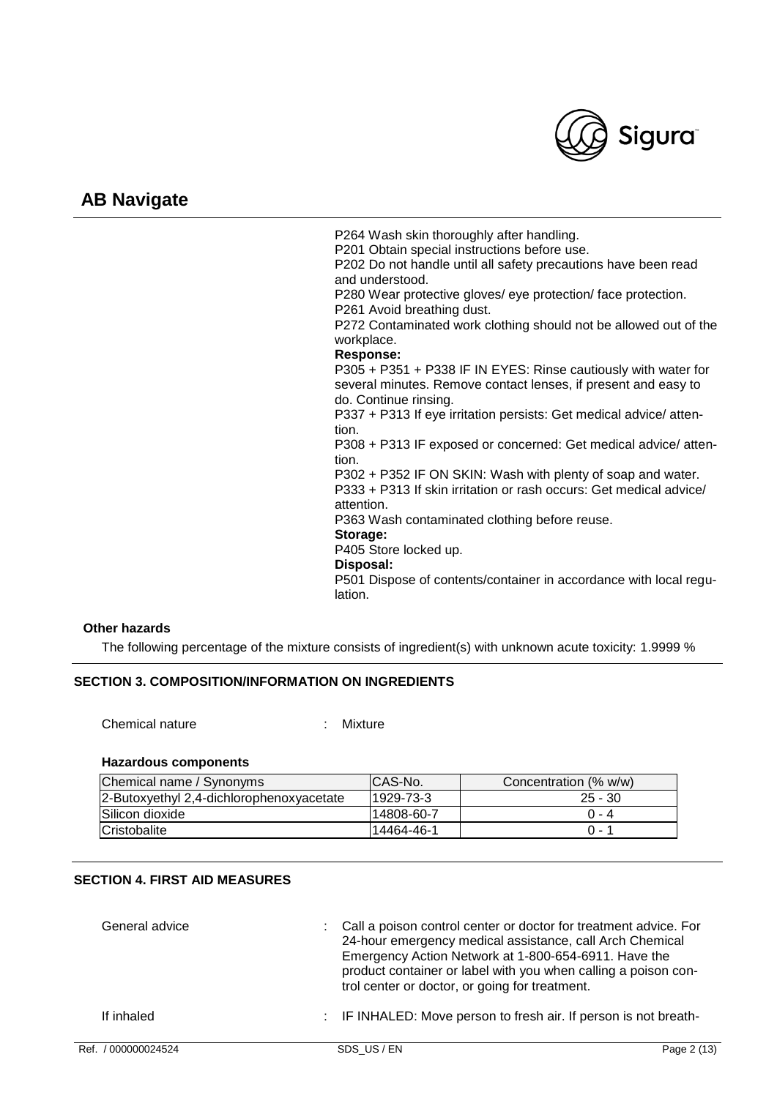

P264 Wash skin thoroughly after handling. P201 Obtain special instructions before use. P202 Do not handle until all safety precautions have been read and understood. P280 Wear protective gloves/ eye protection/ face protection. P261 Avoid breathing dust. P272 Contaminated work clothing should not be allowed out of the workplace. **Response:**  P305 + P351 + P338 IF IN EYES: Rinse cautiously with water for several minutes. Remove contact lenses, if present and easy to do. Continue rinsing. P337 + P313 If eye irritation persists: Get medical advice/ attention. P308 + P313 IF exposed or concerned: Get medical advice/ attention. P302 + P352 IF ON SKIN: Wash with plenty of soap and water. P333 + P313 If skin irritation or rash occurs: Get medical advice/ attention. P363 Wash contaminated clothing before reuse. **Storage:**  P405 Store locked up. **Disposal:**  P501 Dispose of contents/container in accordance with local regulation.

### **Other hazards**

The following percentage of the mixture consists of ingredient(s) with unknown acute toxicity: 1.9999 %

#### **SECTION 3. COMPOSITION/INFORMATION ON INGREDIENTS**

Chemical nature : Mixture

#### **Hazardous components**

| Chemical name / Synonyms                 | ICAS-No.    | Concentration (% w/w) |
|------------------------------------------|-------------|-----------------------|
| 2-Butoxyethyl 2,4-dichlorophenoxyacetate | 1929-73-3   | $25 - 30$             |
| Silicon dioxide                          | l14808-60-7 | $0 - 4$               |
| Cristobalite                             | l14464-46-1 | $() - 1$              |

## **SECTION 4. FIRST AID MEASURES**

| General advice | : Call a poison control center or doctor for treatment advice. For<br>24-hour emergency medical assistance, call Arch Chemical<br>Emergency Action Network at 1-800-654-6911. Have the<br>product container or label with you when calling a poison con-<br>trol center or doctor, or going for treatment. |
|----------------|------------------------------------------------------------------------------------------------------------------------------------------------------------------------------------------------------------------------------------------------------------------------------------------------------------|
| If inhaled     | : IF INHALED: Move person to fresh air. If person is not breath-                                                                                                                                                                                                                                           |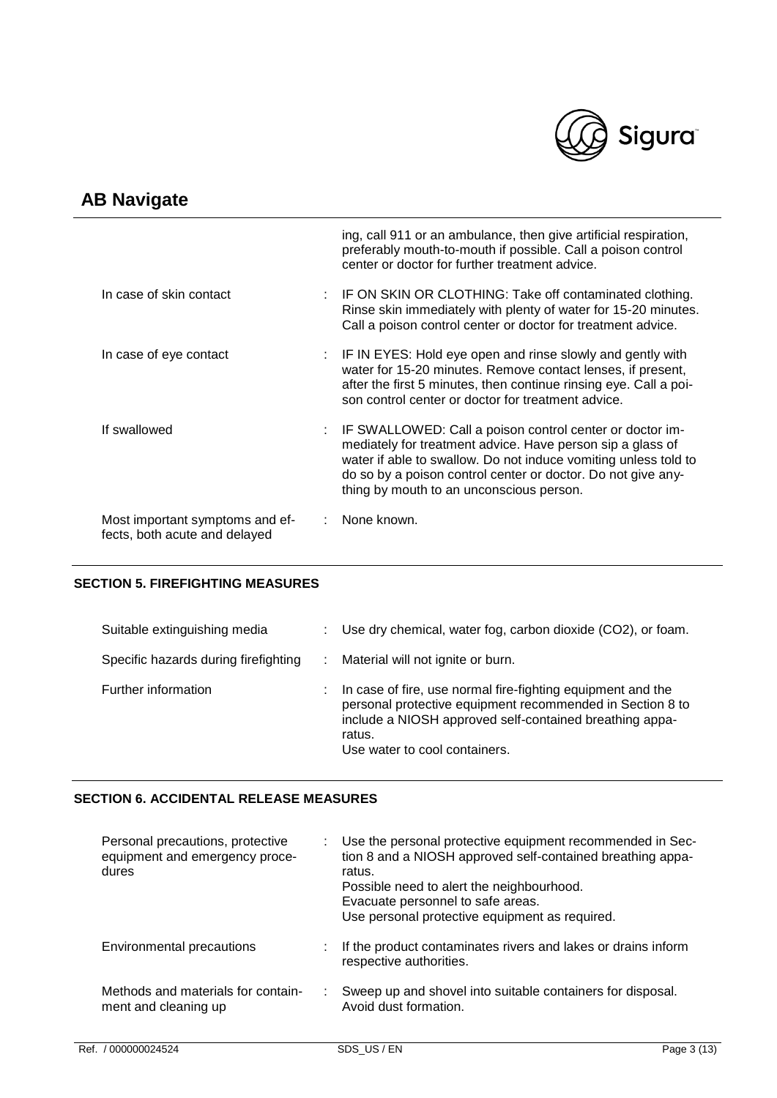

|                                                                  | ing, call 911 or an ambulance, then give artificial respiration,<br>preferably mouth-to-mouth if possible. Call a poison control<br>center or doctor for further treatment advice.                                                                                                                      |
|------------------------------------------------------------------|---------------------------------------------------------------------------------------------------------------------------------------------------------------------------------------------------------------------------------------------------------------------------------------------------------|
| In case of skin contact                                          | : IF ON SKIN OR CLOTHING: Take off contaminated clothing.<br>Rinse skin immediately with plenty of water for 15-20 minutes.<br>Call a poison control center or doctor for treatment advice.                                                                                                             |
| In case of eye contact                                           | : IF IN EYES: Hold eye open and rinse slowly and gently with<br>water for 15-20 minutes. Remove contact lenses, if present,<br>after the first 5 minutes, then continue rinsing eye. Call a poi-<br>son control center or doctor for treatment advice.                                                  |
| If swallowed                                                     | : IF SWALLOWED: Call a poison control center or doctor im-<br>mediately for treatment advice. Have person sip a glass of<br>water if able to swallow. Do not induce vomiting unless told to<br>do so by a poison control center or doctor. Do not give any-<br>thing by mouth to an unconscious person. |
| Most important symptoms and ef-<br>fects, both acute and delayed | None known.                                                                                                                                                                                                                                                                                             |

## **SECTION 5. FIREFIGHTING MEASURES**

| Suitable extinguishing media         | t. | Use dry chemical, water fog, carbon dioxide (CO2), or foam.                                                                                                                                                                    |
|--------------------------------------|----|--------------------------------------------------------------------------------------------------------------------------------------------------------------------------------------------------------------------------------|
| Specific hazards during firefighting |    | Material will not ignite or burn.                                                                                                                                                                                              |
| Further information                  |    | In case of fire, use normal fire-fighting equipment and the<br>personal protective equipment recommended in Section 8 to<br>include a NIOSH approved self-contained breathing appa-<br>ratus.<br>Use water to cool containers. |

## **SECTION 6. ACCIDENTAL RELEASE MEASURES**

| Personal precautions, protective<br>equipment and emergency proce-<br>dures | Use the personal protective equipment recommended in Sec-<br>tion 8 and a NIOSH approved self-contained breathing appa-<br>ratus.<br>Possible need to alert the neighbourhood.<br>Evacuate personnel to safe areas.<br>Use personal protective equipment as required. |
|-----------------------------------------------------------------------------|-----------------------------------------------------------------------------------------------------------------------------------------------------------------------------------------------------------------------------------------------------------------------|
| Environmental precautions                                                   | If the product contaminates rivers and lakes or drains inform<br>respective authorities.                                                                                                                                                                              |
| Methods and materials for contain-<br>ment and cleaning up                  | Sweep up and shovel into suitable containers for disposal.<br>Avoid dust formation.                                                                                                                                                                                   |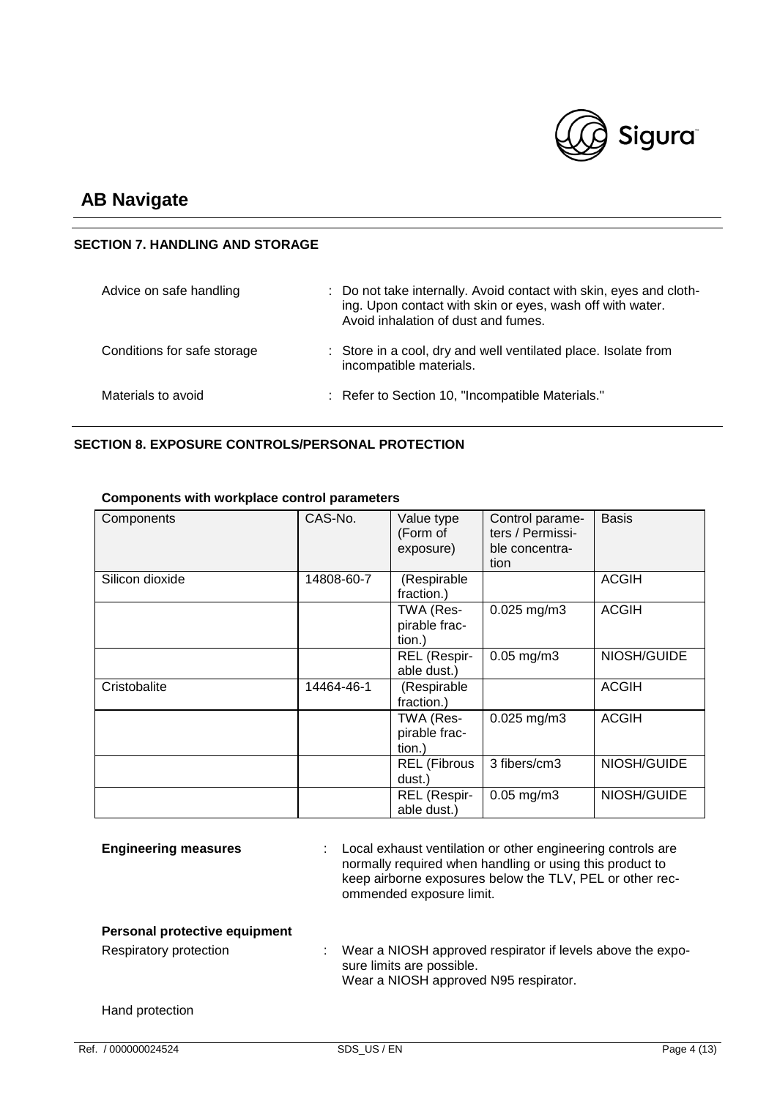

## **SECTION 7. HANDLING AND STORAGE**

| Advice on safe handling     | : Do not take internally. Avoid contact with skin, eyes and cloth-<br>ing. Upon contact with skin or eyes, wash off with water.<br>Avoid inhalation of dust and fumes. |
|-----------------------------|------------------------------------------------------------------------------------------------------------------------------------------------------------------------|
| Conditions for safe storage | : Store in a cool, dry and well ventilated place. Isolate from<br>incompatible materials.                                                                              |
| Materials to avoid          | : Refer to Section 10, "Incompatible Materials."                                                                                                                       |

## **SECTION 8. EXPOSURE CONTROLS/PERSONAL PROTECTION**

| Components      | CAS-No.    | Value type<br>(Form of<br>exposure)  | Control parame-<br>ters / Permissi-<br>ble concentra-<br>tion | <b>Basis</b> |
|-----------------|------------|--------------------------------------|---------------------------------------------------------------|--------------|
| Silicon dioxide | 14808-60-7 | (Respirable<br>fraction.)            |                                                               | <b>ACGIH</b> |
|                 |            | TWA (Res-<br>pirable frac-<br>tion.) | $0.025$ mg/m3                                                 | <b>ACGIH</b> |
|                 |            | REL (Respir-<br>able dust.)          | $0.05$ mg/m $3$                                               | NIOSH/GUIDE  |
| Cristobalite    | 14464-46-1 | (Respirable<br>fraction.)            |                                                               | <b>ACGIH</b> |
|                 |            | TWA (Res-<br>pirable frac-<br>tion.) | $0.025$ mg/m3                                                 | <b>ACGIH</b> |
|                 |            | <b>REL</b> (Fibrous<br>dust.)        | 3 fibers/cm3                                                  | NIOSH/GUIDE  |
|                 |            | REL (Respir-<br>able dust.)          | $0.05$ mg/m $3$                                               | NIOSH/GUIDE  |

## **Components with workplace control parameters**

|                               | able dust.)                                                                                                                                                                                                     |  |
|-------------------------------|-----------------------------------------------------------------------------------------------------------------------------------------------------------------------------------------------------------------|--|
| <b>Engineering measures</b>   | Local exhaust ventilation or other engineering controls are<br>normally required when handling or using this product to<br>keep airborne exposures below the TLV, PEL or other rec-<br>ommended exposure limit. |  |
| Personal protective equipment |                                                                                                                                                                                                                 |  |
| Respiratory protection        | Wear a NIOSH approved respirator if levels above the expo-<br>sure limits are possible.<br>Wear a NIOSH approved N95 respirator.                                                                                |  |
| Hand protection               |                                                                                                                                                                                                                 |  |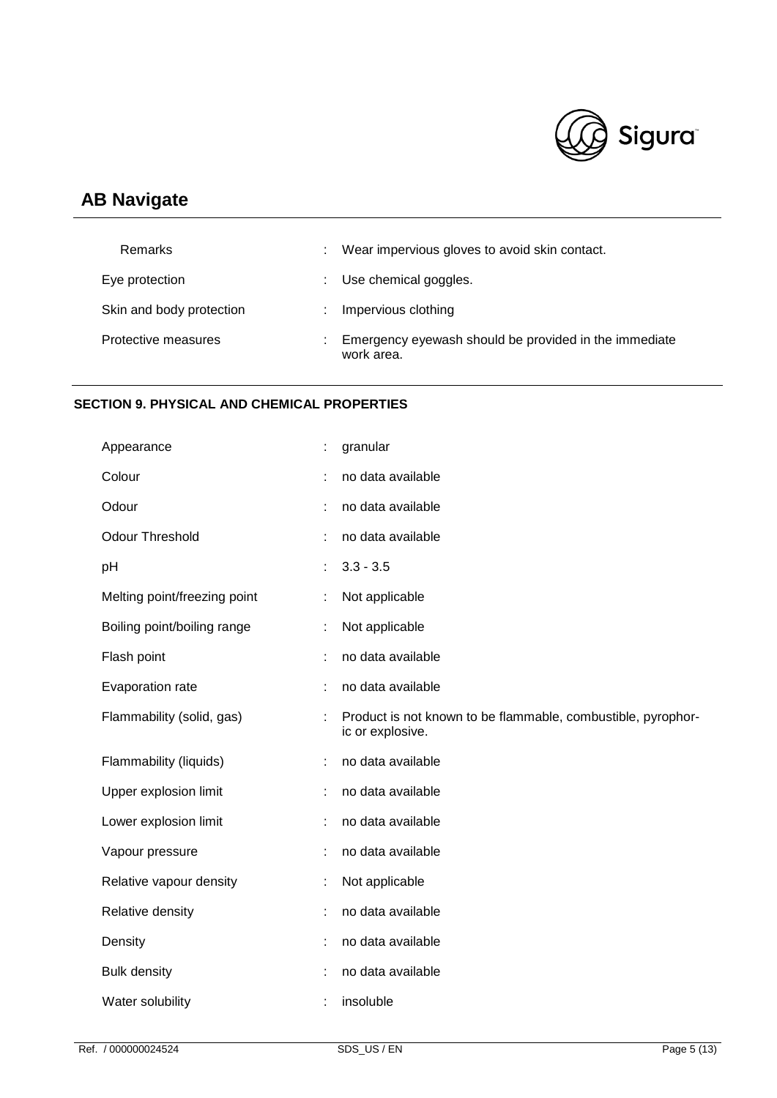

| Remarks                  | Wear impervious gloves to avoid skin contact.                       |
|--------------------------|---------------------------------------------------------------------|
| Eye protection           | Use chemical goggles.                                               |
| Skin and body protection | Impervious clothing                                                 |
| Protective measures      | Emergency eyewash should be provided in the immediate<br>work area. |

## **SECTION 9. PHYSICAL AND CHEMICAL PROPERTIES**

| Appearance                   | t | granular                                                                         |
|------------------------------|---|----------------------------------------------------------------------------------|
| Colour                       |   | no data available                                                                |
| Odour                        |   | no data available                                                                |
| <b>Odour Threshold</b>       | ÷ | no data available                                                                |
| pH                           | ÷ | $3.3 - 3.5$                                                                      |
| Melting point/freezing point |   | Not applicable                                                                   |
| Boiling point/boiling range  | t | Not applicable                                                                   |
| Flash point                  | t | no data available                                                                |
| Evaporation rate             | ÷ | no data available                                                                |
| Flammability (solid, gas)    |   | Product is not known to be flammable, combustible, pyrophor-<br>ic or explosive. |
| Flammability (liquids)       |   | no data available                                                                |
| Upper explosion limit        |   | no data available                                                                |
| Lower explosion limit        |   | no data available                                                                |
| Vapour pressure              | ÷ | no data available                                                                |
| Relative vapour density      | t | Not applicable                                                                   |
| Relative density             | ÷ | no data available                                                                |
| Density                      | t | no data available                                                                |
| <b>Bulk density</b>          | t | no data available                                                                |
| Water solubility             |   | insoluble                                                                        |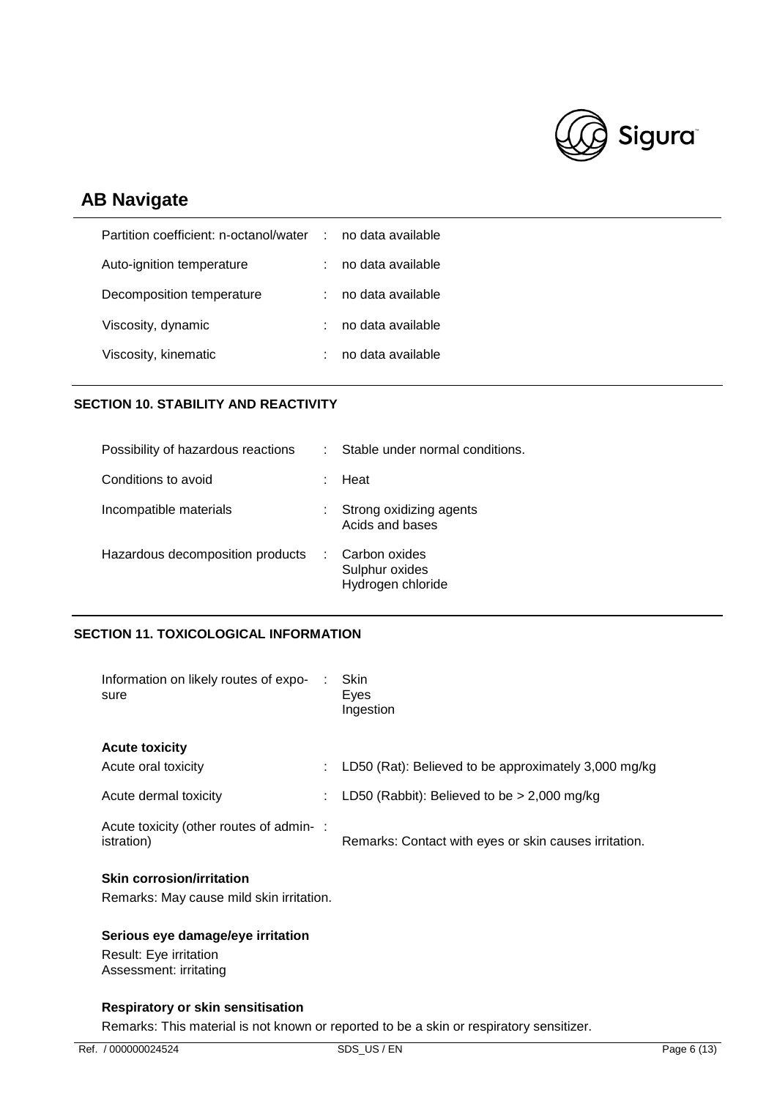

| no data available                        |
|------------------------------------------|
| no data available                        |
| no data available                        |
| no data available                        |
| no data available                        |
| Partition coefficient: n-octanol/water : |

## **SECTION 10. STABILITY AND REACTIVITY**

| Conditions to avoid<br>Heat<br>Incompatible materials<br>Strong oxidizing agents<br>Acids and bases<br>Hazardous decomposition products<br>Carbon oxides<br>Sulphur oxides<br>Hydrogen chloride | Possibility of hazardous reactions | Stable under normal conditions.<br>t. |
|-------------------------------------------------------------------------------------------------------------------------------------------------------------------------------------------------|------------------------------------|---------------------------------------|
|                                                                                                                                                                                                 |                                    |                                       |
|                                                                                                                                                                                                 |                                    |                                       |
|                                                                                                                                                                                                 |                                    |                                       |

### **SECTION 11. TOXICOLOGICAL INFORMATION**

| Information on likely routes of expo-<br>sure                                |   | Skin<br>Eyes<br>Ingestion                             |
|------------------------------------------------------------------------------|---|-------------------------------------------------------|
| <b>Acute toxicity</b>                                                        |   |                                                       |
| Acute oral toxicity                                                          | ÷ | LD50 (Rat): Believed to be approximately 3,000 mg/kg  |
| Acute dermal toxicity                                                        |   | LD50 (Rabbit): Believed to be $>$ 2,000 mg/kg         |
| Acute toxicity (other routes of admin-:<br>istration)                        |   | Remarks: Contact with eyes or skin causes irritation. |
| <b>Skin corrosion/irritation</b><br>Remarks: May cause mild skin irritation. |   |                                                       |

## **Serious eye damage/eye irritation**

Result: Eye irritation Assessment: irritating

## **Respiratory or skin sensitisation**

Remarks: This material is not known or reported to be a skin or respiratory sensitizer.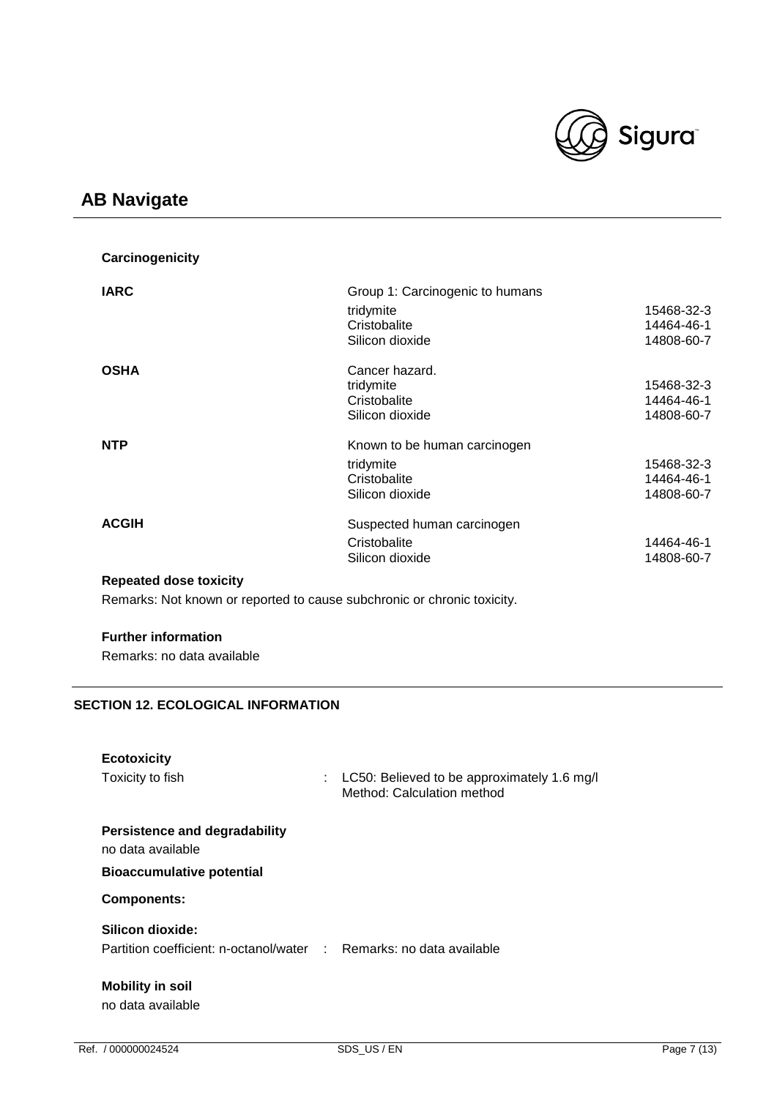

| Carcinogenicity               |                                 |            |
|-------------------------------|---------------------------------|------------|
| <b>IARC</b>                   | Group 1: Carcinogenic to humans |            |
|                               | tridymite                       | 15468-32-3 |
|                               | Cristobalite                    | 14464-46-1 |
|                               | Silicon dioxide                 | 14808-60-7 |
| <b>OSHA</b>                   | Cancer hazard.                  |            |
|                               | tridymite                       | 15468-32-3 |
|                               | Cristobalite                    | 14464-46-1 |
|                               | Silicon dioxide                 | 14808-60-7 |
| <b>NTP</b>                    | Known to be human carcinogen    |            |
|                               | tridymite                       | 15468-32-3 |
|                               | Cristobalite                    | 14464-46-1 |
|                               | Silicon dioxide                 | 14808-60-7 |
| <b>ACGIH</b>                  | Suspected human carcinogen      |            |
|                               | Cristobalite                    | 14464-46-1 |
|                               | Silicon dioxide                 | 14808-60-7 |
| <b>Repeated dose toxicity</b> |                                 |            |

Remarks: Not known or reported to cause subchronic or chronic toxicity.

## **Further information**

Remarks: no data available

## **SECTION 12. ECOLOGICAL INFORMATION**

| <b>Ecotoxicity</b><br>Toxicity to fish                                                  | ÷ | LC50: Believed to be approximately 1.6 mg/l<br>Method: Calculation method |
|-----------------------------------------------------------------------------------------|---|---------------------------------------------------------------------------|
| Persistence and degradability<br>no data available<br><b>Bioaccumulative potential</b>  |   |                                                                           |
| <b>Components:</b>                                                                      |   |                                                                           |
| Silicon dioxide:<br>Partition coefficient: n-octanol/water : Remarks: no data available |   |                                                                           |
| <b>Mobility in soil</b><br>no data available                                            |   |                                                                           |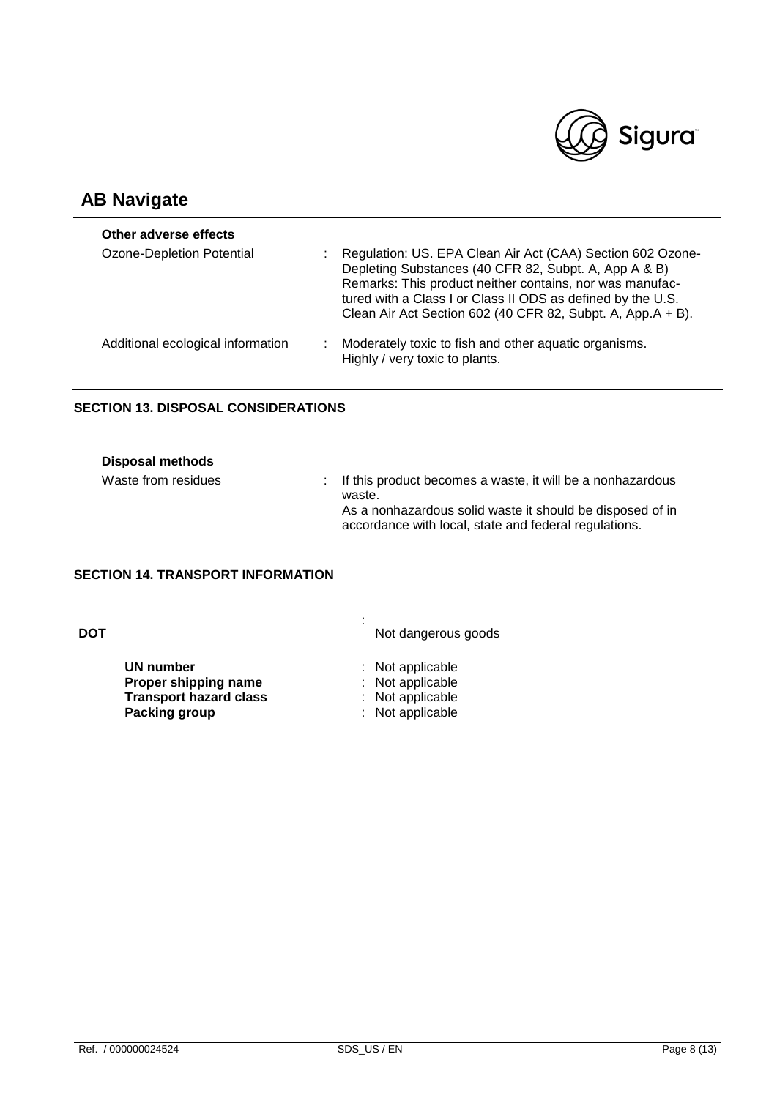

| Other adverse effects             |   |                                                                                                                                                                                                                                                                                                               |
|-----------------------------------|---|---------------------------------------------------------------------------------------------------------------------------------------------------------------------------------------------------------------------------------------------------------------------------------------------------------------|
| Ozone-Depletion Potential         |   | Regulation: US. EPA Clean Air Act (CAA) Section 602 Ozone-<br>Depleting Substances (40 CFR 82, Subpt. A, App A & B)<br>Remarks: This product neither contains, nor was manufac-<br>tured with a Class I or Class II ODS as defined by the U.S.<br>Clean Air Act Section 602 (40 CFR 82, Subpt. A, App.A + B). |
| Additional ecological information | ÷ | Moderately toxic to fish and other aquatic organisms.<br>Highly / very toxic to plants.                                                                                                                                                                                                                       |

## **SECTION 13. DISPOSAL CONSIDERATIONS**

| Disposal methods    |                                                                                                                                                                                              |
|---------------------|----------------------------------------------------------------------------------------------------------------------------------------------------------------------------------------------|
| Waste from residues | : If this product becomes a waste, it will be a nonhazardous<br>waste.<br>As a nonhazardous solid waste it should be disposed of in<br>accordance with local, state and federal regulations. |

## **SECTION 14. TRANSPORT INFORMATION**

| DOT |                                                                                                   | ٠<br>٠<br>Not dangerous goods                                                |
|-----|---------------------------------------------------------------------------------------------------|------------------------------------------------------------------------------|
|     | <b>UN number</b><br>Proper shipping name<br><b>Transport hazard class</b><br><b>Packing group</b> | : Not applicable<br>: Not applicable<br>: Not applicable<br>: Not applicable |
|     |                                                                                                   |                                                                              |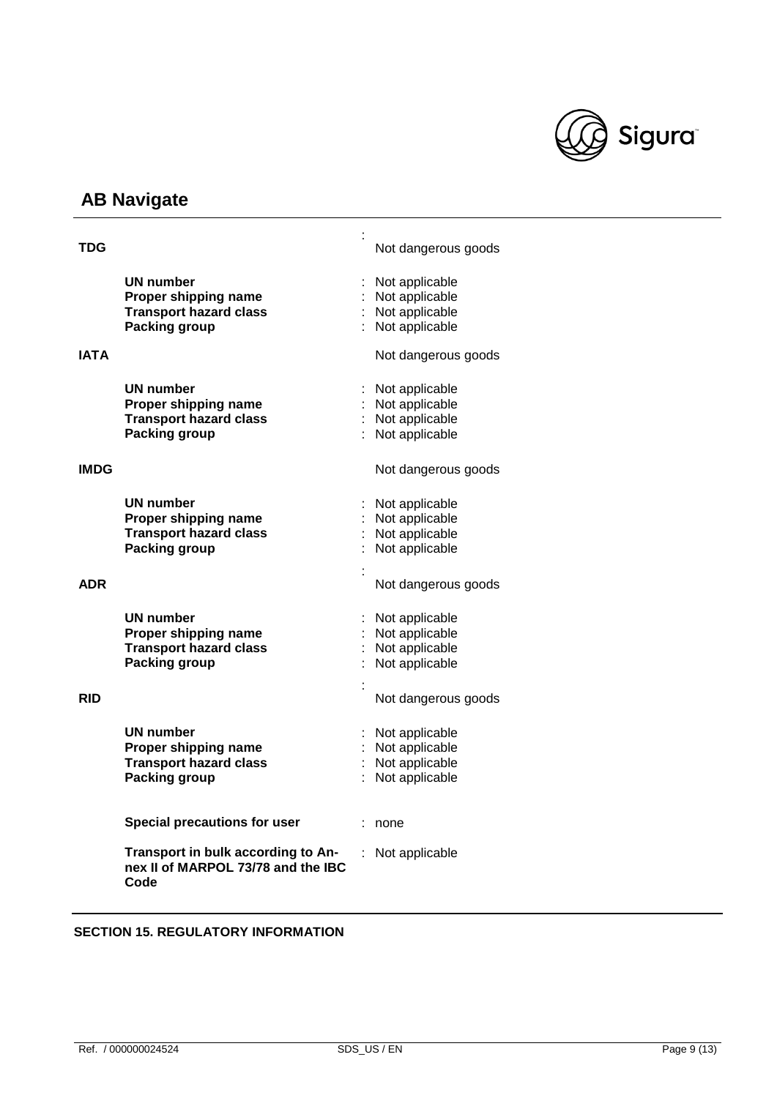

| TDG         |                                                                                  |            | Not dangerous goods |
|-------------|----------------------------------------------------------------------------------|------------|---------------------|
|             | UN number                                                                        |            | Not applicable      |
|             | Proper shipping name                                                             |            | Not applicable      |
|             | <b>Transport hazard class</b>                                                    |            | : Not applicable    |
|             | Packing group                                                                    |            | Not applicable      |
|             |                                                                                  |            |                     |
| IATA        |                                                                                  |            | Not dangerous goods |
|             | <b>UN number</b>                                                                 |            | Not applicable      |
|             | Proper shipping name                                                             |            | Not applicable      |
|             | <b>Transport hazard class</b>                                                    |            | : Not applicable    |
|             | <b>Packing group</b>                                                             |            | Not applicable      |
|             |                                                                                  |            |                     |
| <b>IMDG</b> |                                                                                  |            | Not dangerous goods |
|             | <b>UN number</b>                                                                 |            | Not applicable      |
|             | Proper shipping name                                                             |            | Not applicable      |
|             | <b>Transport hazard class</b>                                                    |            | Not applicable      |
|             | <b>Packing group</b>                                                             |            | Not applicable      |
|             |                                                                                  |            |                     |
|             |                                                                                  |            |                     |
| ADR         |                                                                                  |            | Not dangerous goods |
|             |                                                                                  |            |                     |
|             | UN number                                                                        |            | Not applicable      |
|             | Proper shipping name                                                             |            | Not applicable      |
|             | <b>Transport hazard class</b>                                                    |            | Not applicable      |
|             | <b>Packing group</b>                                                             |            | Not applicable      |
|             |                                                                                  |            |                     |
|             |                                                                                  |            |                     |
| RID         |                                                                                  |            | Not dangerous goods |
|             |                                                                                  |            |                     |
|             | <b>UN number</b>                                                                 |            | Not applicable      |
|             | Proper shipping name                                                             |            | Not applicable      |
|             | <b>Transport hazard class</b>                                                    |            | : Not applicable    |
|             | <b>Packing group</b>                                                             | $\epsilon$ | Not applicable      |
|             |                                                                                  |            |                     |
|             |                                                                                  |            |                     |
|             | <b>Special precautions for user</b>                                              |            | : none              |
|             |                                                                                  |            |                     |
|             | Transport in bulk according to An-<br>nex II of MARPOL 73/78 and the IBC<br>Code |            | Not applicable      |
|             |                                                                                  |            |                     |

## **SECTION 15. REGULATORY INFORMATION**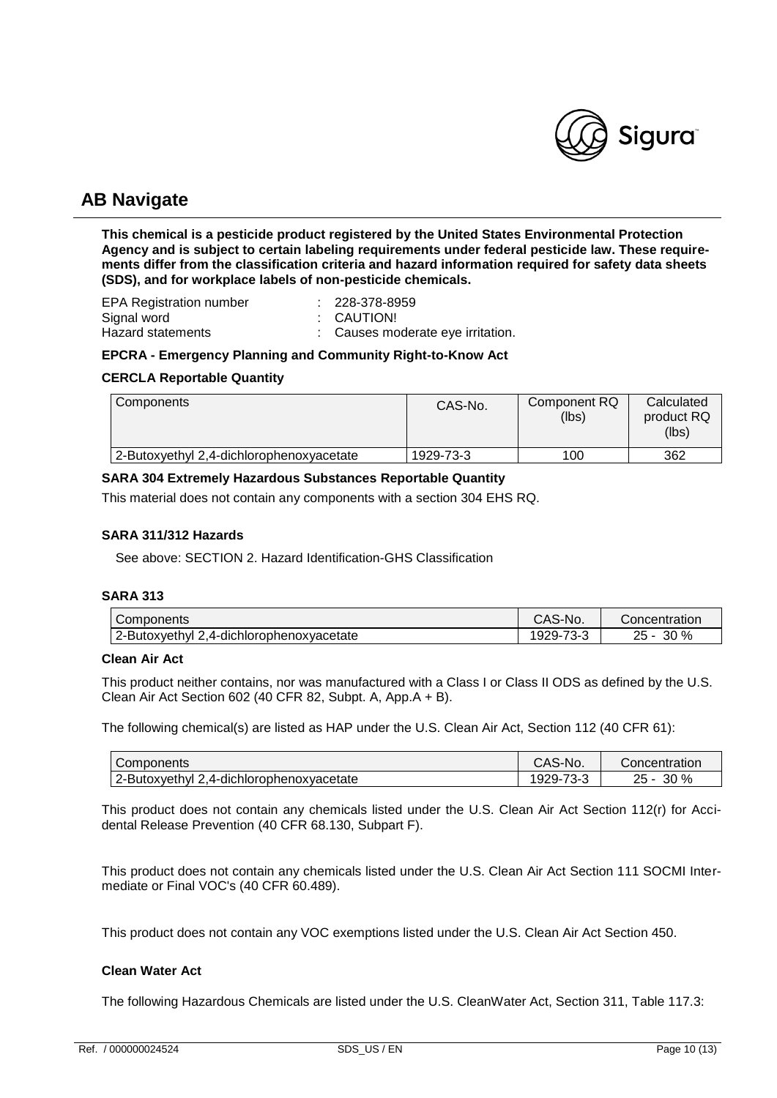

**This chemical is a pesticide product registered by the United States Environmental Protection Agency and is subject to certain labeling requirements under federal pesticide law. These requirements differ from the classification criteria and hazard information required for safety data sheets (SDS), and for workplace labels of non-pesticide chemicals.**

| <b>EPA Registration number</b> | : 228-378-8959                    |
|--------------------------------|-----------------------------------|
| Signal word                    | : CAUTION!                        |
| Hazard statements              | : Causes moderate eye irritation. |

#### **EPCRA - Emergency Planning and Community Right-to-Know Act**

#### **CERCLA Reportable Quantity**

| Components                               | CAS-No.   | Component RQ<br>(lbs) | Calculated<br>product RQ<br>(lbs) |
|------------------------------------------|-----------|-----------------------|-----------------------------------|
| 2-Butoxyethyl 2,4-dichlorophenoxyacetate | 1929-73-3 | 100                   | 362                               |

#### **SARA 304 Extremely Hazardous Substances Reportable Quantity**

This material does not contain any components with a section 304 EHS RQ.

#### **SARA 311/312 Hazards**

See above: SECTION 2. Hazard Identification-GHS Classification

#### **SARA 313**

| Components                                | CAS-No.        | Concentration   |
|-------------------------------------------|----------------|-----------------|
| 2-Butoxyethyl<br>4-dichlorophenoxvacetate | '929-<br>. ఎ∹ి | 30 %<br>25<br>- |

#### **Clean Air Act**

This product neither contains, nor was manufactured with a Class I or Class II ODS as defined by the U.S. Clean Air Act Section 602 (40 CFR 82, Subpt. A, App.A + B).

The following chemical(s) are listed as HAP under the U.S. Clean Air Act, Section 112 (40 CFR 61):

| Components                                 | CAS-No.         | Concentration      |
|--------------------------------------------|-----------------|--------------------|
| 2-Butoxyethyl<br>.4-dichlorophenoxyacetate | . -929 '<br>ა-ა | 30 %<br>つに<br>י כ∠ |

This product does not contain any chemicals listed under the U.S. Clean Air Act Section 112(r) for Accidental Release Prevention (40 CFR 68.130, Subpart F).

This product does not contain any chemicals listed under the U.S. Clean Air Act Section 111 SOCMI Intermediate or Final VOC's (40 CFR 60.489).

This product does not contain any VOC exemptions listed under the U.S. Clean Air Act Section 450.

## **Clean Water Act**

The following Hazardous Chemicals are listed under the U.S. CleanWater Act, Section 311, Table 117.3: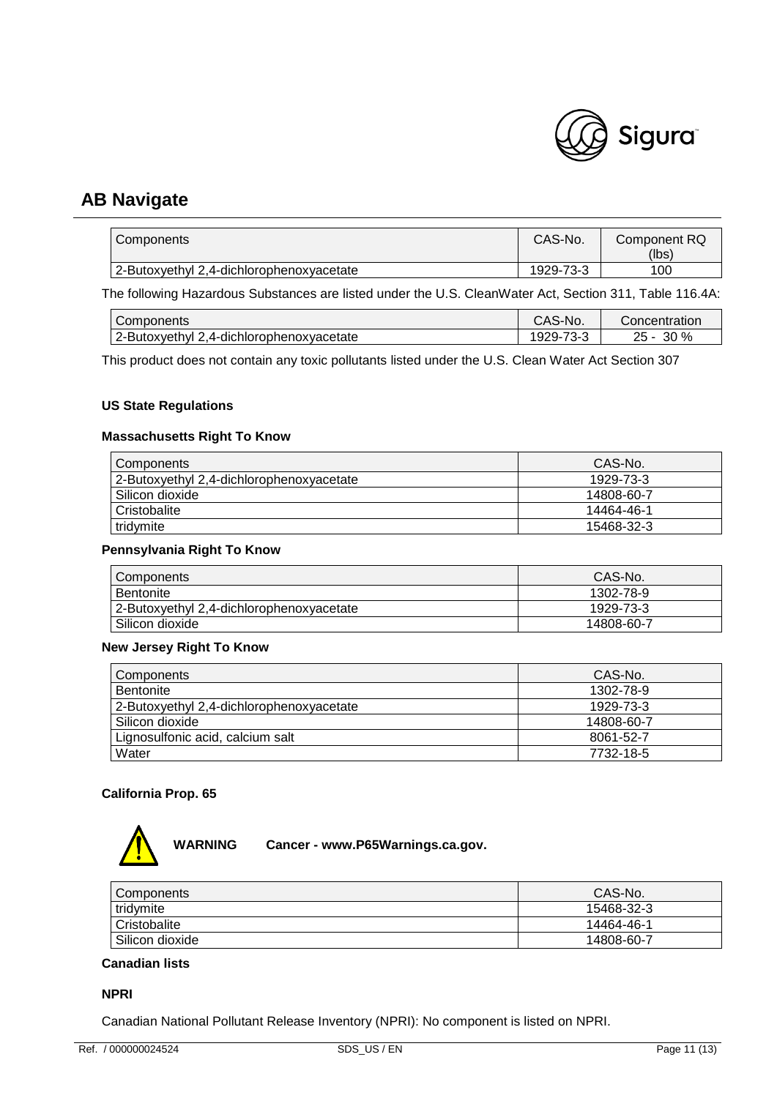

| Components                               | CAS-No.   | Component RQ<br>(lbs) |
|------------------------------------------|-----------|-----------------------|
| 2-Butoxyethyl 2,4-dichlorophenoxyacetate | 1929-73-3 | 100                   |

The following Hazardous Substances are listed under the U.S. CleanWater Act, Section 311, Table 116.4A:

| <b>Components</b>                           | CAS-No.                                                   | Concentration     |
|---------------------------------------------|-----------------------------------------------------------|-------------------|
| 2-Butoxyethyl<br>',4-dichlorophenoxyacetate | $\overline{\phantom{a}}$<br>$1929 - 7$<br>n- 1<br>w<br>ັບ | 30 %<br>ົ<br>25 - |

This product does not contain any toxic pollutants listed under the U.S. Clean Water Act Section 307

### **US State Regulations**

### **Massachusetts Right To Know**

| Components                               | CAS-No.    |
|------------------------------------------|------------|
| 2-Butoxyethyl 2,4-dichlorophenoxyacetate | 1929-73-3  |
| l Silicon dioxide                        | 14808-60-7 |
| <b>Cristobalite</b>                      | 14464-46-1 |
| tridymite                                | 15468-32-3 |

#### **Pennsylvania Right To Know**

| Components                               | CAS-No.    |
|------------------------------------------|------------|
| <b>Bentonite</b>                         | 1302-78-9  |
| 2-Butoxyethyl 2,4-dichlorophenoxyacetate | 1929-73-3  |
| Silicon dioxide                          | 14808-60-7 |

#### **New Jersey Right To Know**

| Components                               | CAS-No.    |
|------------------------------------------|------------|
| Bentonite                                | 1302-78-9  |
| 2-Butoxyethyl 2,4-dichlorophenoxyacetate | 1929-73-3  |
| Silicon dioxide                          | 14808-60-7 |
| Lignosulfonic acid, calcium salt         | 8061-52-7  |
| Water                                    | 7732-18-5  |

## **California Prop. 65**



| Components      | CAS-No.    |
|-----------------|------------|
| tridymite       | 15468-32-3 |
| Cristobalite    | 14464-46-1 |
| Silicon dioxide | 14808-60-7 |

## **Canadian lists**

#### **NPRI**

Canadian National Pollutant Release Inventory (NPRI): No component is listed on NPRI.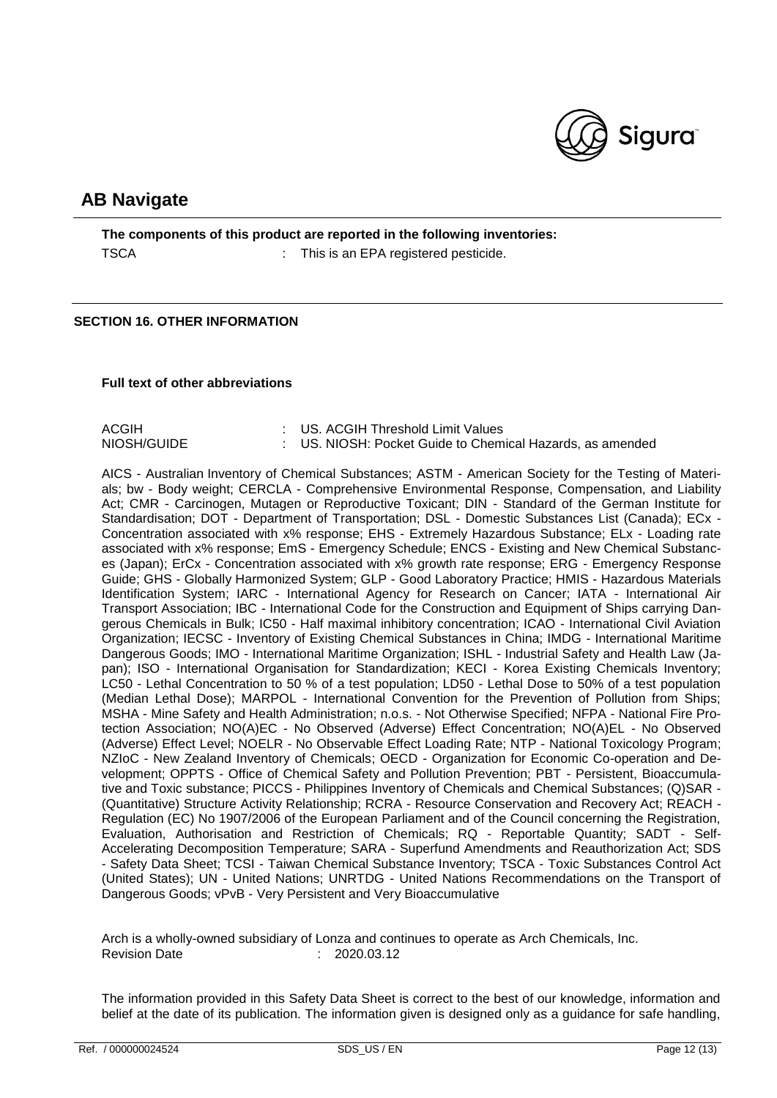

**The components of this product are reported in the following inventories:** TSCA : This is an EPA registered pesticide.

#### **SECTION 16. OTHER INFORMATION**

#### **Full text of other abbreviations**

| ACGIH       | : US. ACGIH Threshold Limit Values                        |
|-------------|-----------------------------------------------------------|
| NIOSH/GUIDE | : US. NIOSH: Pocket Guide to Chemical Hazards, as amended |

AICS - Australian Inventory of Chemical Substances; ASTM - American Society for the Testing of Materials; bw - Body weight; CERCLA - Comprehensive Environmental Response, Compensation, and Liability Act; CMR - Carcinogen, Mutagen or Reproductive Toxicant; DIN - Standard of the German Institute for Standardisation; DOT - Department of Transportation; DSL - Domestic Substances List (Canada); ECx - Concentration associated with x% response; EHS - Extremely Hazardous Substance; ELx - Loading rate associated with x% response; EmS - Emergency Schedule; ENCS - Existing and New Chemical Substances (Japan); ErCx - Concentration associated with x% growth rate response; ERG - Emergency Response Guide; GHS - Globally Harmonized System; GLP - Good Laboratory Practice; HMIS - Hazardous Materials Identification System; IARC - International Agency for Research on Cancer; IATA - International Air Transport Association; IBC - International Code for the Construction and Equipment of Ships carrying Dangerous Chemicals in Bulk; IC50 - Half maximal inhibitory concentration; ICAO - International Civil Aviation Organization; IECSC - Inventory of Existing Chemical Substances in China; IMDG - International Maritime Dangerous Goods; IMO - International Maritime Organization; ISHL - Industrial Safety and Health Law (Japan); ISO - International Organisation for Standardization; KECI - Korea Existing Chemicals Inventory; LC50 - Lethal Concentration to 50 % of a test population; LD50 - Lethal Dose to 50% of a test population (Median Lethal Dose); MARPOL - International Convention for the Prevention of Pollution from Ships; MSHA - Mine Safety and Health Administration; n.o.s. - Not Otherwise Specified; NFPA - National Fire Protection Association; NO(A)EC - No Observed (Adverse) Effect Concentration; NO(A)EL - No Observed (Adverse) Effect Level; NOELR - No Observable Effect Loading Rate; NTP - National Toxicology Program; NZIoC - New Zealand Inventory of Chemicals; OECD - Organization for Economic Co-operation and Development; OPPTS - Office of Chemical Safety and Pollution Prevention; PBT - Persistent, Bioaccumulative and Toxic substance; PICCS - Philippines Inventory of Chemicals and Chemical Substances; (Q)SAR - (Quantitative) Structure Activity Relationship; RCRA - Resource Conservation and Recovery Act; REACH - Regulation (EC) No 1907/2006 of the European Parliament and of the Council concerning the Registration, Evaluation, Authorisation and Restriction of Chemicals; RQ - Reportable Quantity; SADT - Self-Accelerating Decomposition Temperature; SARA - Superfund Amendments and Reauthorization Act; SDS - Safety Data Sheet; TCSI - Taiwan Chemical Substance Inventory; TSCA - Toxic Substances Control Act (United States); UN - United Nations; UNRTDG - United Nations Recommendations on the Transport of Dangerous Goods; vPvB - Very Persistent and Very Bioaccumulative

Arch is a wholly-owned subsidiary of Lonza and continues to operate as Arch Chemicals, Inc. Revision Date : 2020.03.12

The information provided in this Safety Data Sheet is correct to the best of our knowledge, information and belief at the date of its publication. The information given is designed only as a guidance for safe handling,